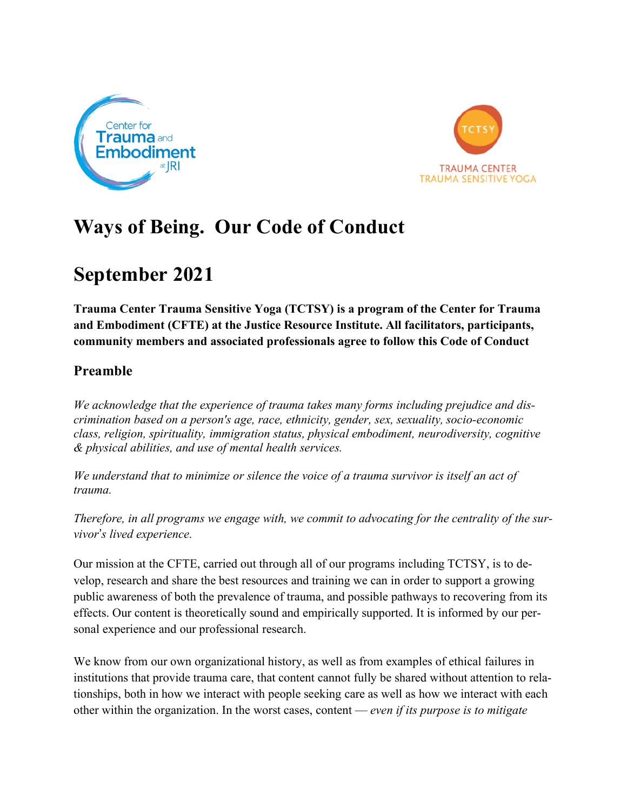



# **Ways of Being. Our Code of Conduct**

## **September 2021**

**Trauma Center Trauma Sensitive Yoga (TCTSY) is a program of the Center for Trauma and Embodiment (CFTE) at the Justice Resource Institute. All facilitators, participants, community members and associated professionals agree to follow this Code of Conduct**

### **Preamble**

*We acknowledge that the experience of trauma takes many forms including prejudice and discrimination based on a person's age, race, ethnicity, gender, sex, sexuality, socio-economic class, religion, spirituality, immigration status, physical embodiment, neurodiversity, cognitive & physical abilities, and use of mental health services.*

*We understand that to minimize or silence the voice of a trauma survivor is itself an act of trauma.*

*Therefore, in all programs we engage with, we commit to advocating for the centrality of the survivor*!*s lived experience.*

Our mission at the CFTE, carried out through all of our programs including TCTSY, is to develop, research and share the best resources and training we can in order to support a growing public awareness of both the prevalence of trauma, and possible pathways to recovering from its effects. Our content is theoretically sound and empirically supported. It is informed by our personal experience and our professional research.

We know from our own organizational history, as well as from examples of ethical failures in institutions that provide trauma care, that content cannot fully be shared without attention to relationships, both in how we interact with people seeking care as well as how we interact with each other within the organization. In the worst cases, content — *even if its purpose is to mitigate*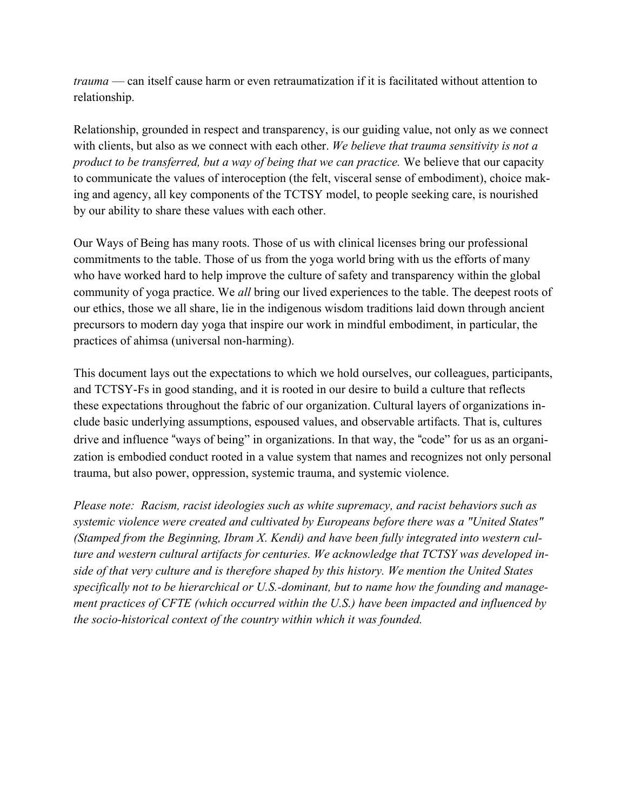*trauma* — can itself cause harm or even retraumatization if it is facilitated without attention to relationship.

Relationship, grounded in respect and transparency, is our guiding value, not only as we connect with clients, but also as we connect with each other. *We believe that trauma sensitivity is not a product to be transferred, but a way of being that we can practice.* We believe that our capacity to communicate the values of interoception (the felt, visceral sense of embodiment), choice making and agency, all key components of the TCTSY model, to people seeking care, is nourished by our ability to share these values with each other.

Our Ways of Being has many roots. Those of us with clinical licenses bring our professional commitments to the table. Those of us from the yoga world bring with us the efforts of many who have worked hard to help improve the culture of safety and transparency within the global community of yoga practice. We *all* bring our lived experiences to the table. The deepest roots of our ethics, those we all share, lie in the indigenous wisdom traditions laid down through ancient precursors to modern day yoga that inspire our work in mindful embodiment, in particular, the practices of ahimsa (universal non-harming).

This document lays out the expectations to which we hold ourselves, our colleagues, participants, and TCTSY-Fs in good standing, and it is rooted in our desire to build a culture that reflects these expectations throughout the fabric of our organization. Cultural layers of organizations include basic underlying assumptions, espoused values, and observable artifacts. That is, cultures drive and influence "ways of being" in organizations. In that way, the "code" for us as an organization is embodied conduct rooted in a value system that names and recognizes not only personal trauma, but also power, oppression, systemic trauma, and systemic violence.

*Please note: Racism, racist ideologies such as white supremacy, and racist behaviors such as systemic violence were created and cultivated by Europeans before there was a "United States" (Stamped from the Beginning, Ibram X. Kendi) and have been fully integrated into western culture and western cultural artifacts for centuries. We acknowledge that TCTSY was developed inside of that very culture and is therefore shaped by this history. We mention the United States specifically not to be hierarchical or U.S.-dominant, but to name how the founding and management practices of CFTE (which occurred within the U.S.) have been impacted and influenced by the socio-historical context of the country within which it was founded.*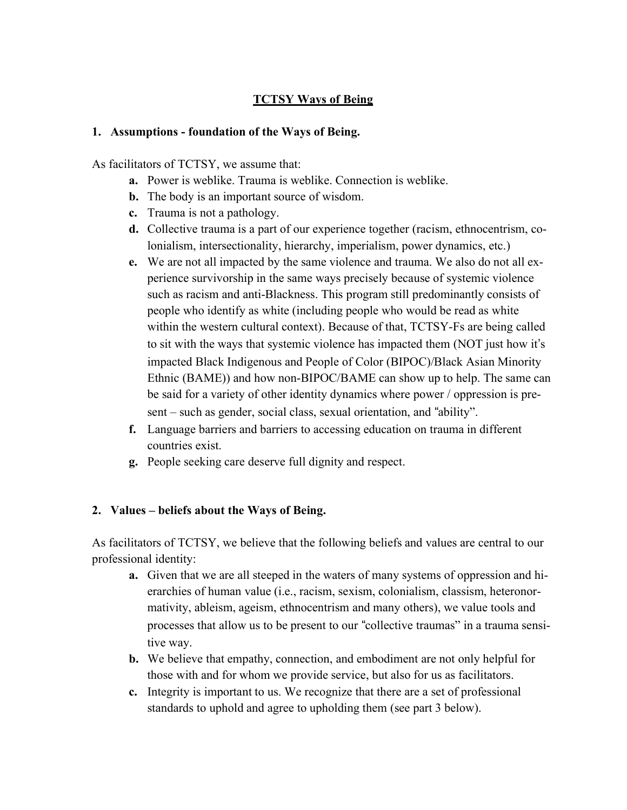#### **TCTSY Ways of Being**

#### **1. Assumptions - foundation of the Ways of Being.**

As facilitators of TCTSY, we assume that:

- **a.** Power is weblike. Trauma is weblike. Connection is weblike.
- **b.** The body is an important source of wisdom.
- **c.** Trauma is not a pathology.
- **d.** Collective trauma is a part of our experience together (racism, ethnocentrism, colonialism, intersectionality, hierarchy, imperialism, power dynamics, etc.)
- **e.** We are not all impacted by the same violence and trauma. We also do not all experience survivorship in the same ways precisely because of systemic violence such as racism and anti-Blackness. This program still predominantly consists of people who identify as white (including people who would be read as white within the western cultural context). Because of that, TCTSY-Fs are being called to sit with the ways that systemic violence has impacted them (NOT just how it's impacted Black Indigenous and People of Color (BIPOC)/Black Asian Minority Ethnic (BAME)) and how non-BIPOC/BAME can show up to help. The same can be said for a variety of other identity dynamics where power / oppression is present – such as gender, social class, sexual orientation, and "ability".
- **f.** Language barriers and barriers to accessing education on trauma in different countries exist.
- **g.** People seeking care deserve full dignity and respect.

#### **2. Values – beliefs about the Ways of Being.**

As facilitators of TCTSY, we believe that the following beliefs and values are central to our professional identity:

- **a.** Given that we are all steeped in the waters of many systems of oppression and hierarchies of human value (i.e., racism, sexism, colonialism, classism, heteronormativity, ableism, ageism, ethnocentrism and many others), we value tools and processes that allow us to be present to our "collective traumas" in a trauma sensitive way.
- **b.** We believe that empathy, connection, and embodiment are not only helpful for those with and for whom we provide service, but also for us as facilitators.
- **c.** Integrity is important to us. We recognize that there are a set of professional standards to uphold and agree to upholding them (see part 3 below).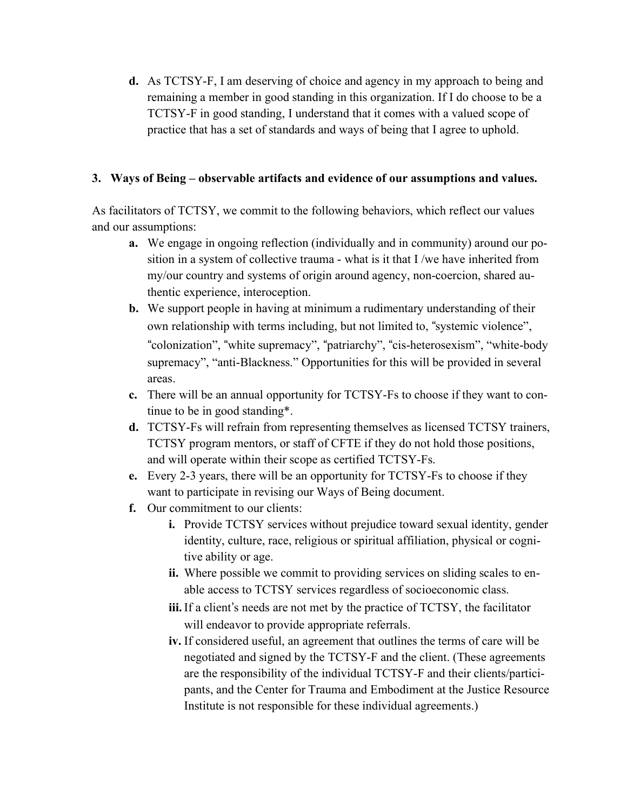**d.** As TCTSY-F, I am deserving of choice and agency in my approach to being and remaining a member in good standing in this organization. If I do choose to be a TCTSY-F in good standing, I understand that it comes with a valued scope of practice that has a set of standards and ways of being that I agree to uphold.

#### **3. Ways of Being – observable artifacts and evidence of our assumptions and values.**

As facilitators of TCTSY, we commit to the following behaviors, which reflect our values and our assumptions:

- **a.** We engage in ongoing reflection (individually and in community) around our position in a system of collective trauma - what is it that I /we have inherited from my/our country and systems of origin around agency, non-coercion, shared authentic experience, interoception.
- **b.** We support people in having at minimum a rudimentary understanding of their own relationship with terms including, but not limited to, "systemic violence", "colonization", "white supremacy", "patriarchy", "cis-heterosexism", "white-body supremacy", "anti-Blackness." Opportunities for this will be provided in several areas.
- **c.** There will be an annual opportunity for TCTSY-Fs to choose if they want to continue to be in good standing\*.
- **d.** TCTSY-Fs will refrain from representing themselves as licensed TCTSY trainers, TCTSY program mentors, or staff of CFTE if they do not hold those positions, and will operate within their scope as certified TCTSY-Fs.
- **e.** Every 2-3 years, there will be an opportunity for TCTSY-Fs to choose if they want to participate in revising our Ways of Being document.
- **f.** Our commitment to our clients:
	- **i.** Provide TCTSY services without prejudice toward sexual identity, gender identity, culture, race, religious or spiritual affiliation, physical or cognitive ability or age.
	- **ii.** Where possible we commit to providing services on sliding scales to enable access to TCTSY services regardless of socioeconomic class.
	- iii. If a client's needs are not met by the practice of TCTSY, the facilitator will endeavor to provide appropriate referrals.
	- **iv.** If considered useful, an agreement that outlines the terms of care will be negotiated and signed by the TCTSY-F and the client. (These agreements are the responsibility of the individual TCTSY-F and their clients/participants, and the Center for Trauma and Embodiment at the Justice Resource Institute is not responsible for these individual agreements.)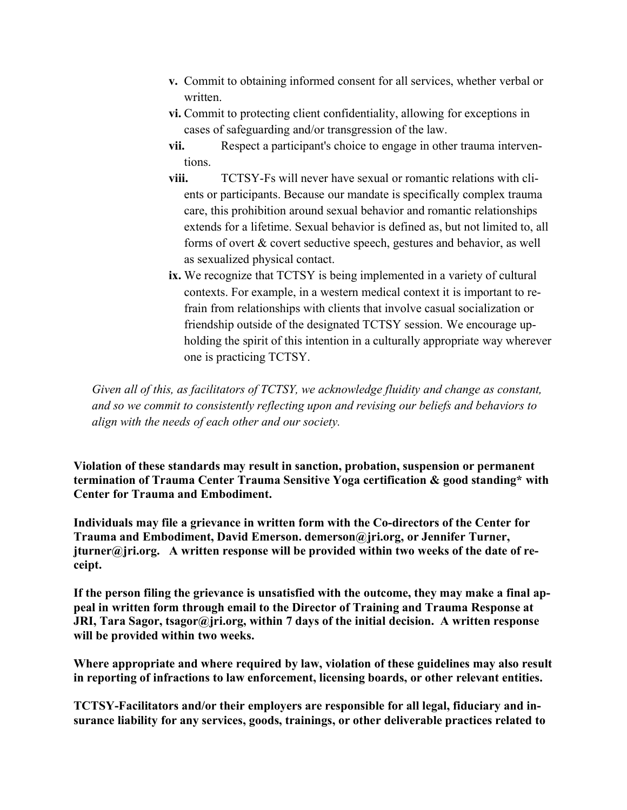- **v.** Commit to obtaining informed consent for all services, whether verbal or written.
- **vi.** Commit to protecting client confidentiality, allowing for exceptions in cases of safeguarding and/or transgression of the law.
- **vii.** Respect a participant's choice to engage in other trauma interventions.
- **viii.** TCTSY-Fs will never have sexual or romantic relations with clients or participants. Because our mandate is specifically complex trauma care, this prohibition around sexual behavior and romantic relationships extends for a lifetime. Sexual behavior is defined as, but not limited to, all forms of overt & covert seductive speech, gestures and behavior, as well as sexualized physical contact.
- **ix.** We recognize that TCTSY is being implemented in a variety of cultural contexts. For example, in a western medical context it is important to refrain from relationships with clients that involve casual socialization or friendship outside of the designated TCTSY session. We encourage upholding the spirit of this intention in a culturally appropriate way wherever one is practicing TCTSY.

*Given all of this, as facilitators of TCTSY, we acknowledge fluidity and change as constant, and so we commit to consistently reflecting upon and revising our beliefs and behaviors to align with the needs of each other and our society.*

**Violation of these standards may result in sanction, probation, suspension or permanent termination of Trauma Center Trauma Sensitive Yoga certification & good standing\* with Center for Trauma and Embodiment.**

**Individuals may file a grievance in written form with the Co-directors of the Center for Trauma and Embodiment, David Emerson. demerson@jri.org, or Jennifer Turner, jturner@jri.org. A written response will be provided within two weeks of the date of receipt.**

**If the person filing the grievance is unsatisfied with the outcome, they may make a final appeal in written form through email to the Director of Training and Trauma Response at JRI, Tara Sagor, tsagor@jri.org, within 7 days of the initial decision. A written response will be provided within two weeks.**

**Where appropriate and where required by law, violation of these guidelines may also result in reporting of infractions to law enforcement, licensing boards, or other relevant entities.**

**TCTSY-Facilitators and/or their employers are responsible for all legal, fiduciary and insurance liability for any services, goods, trainings, or other deliverable practices related to**